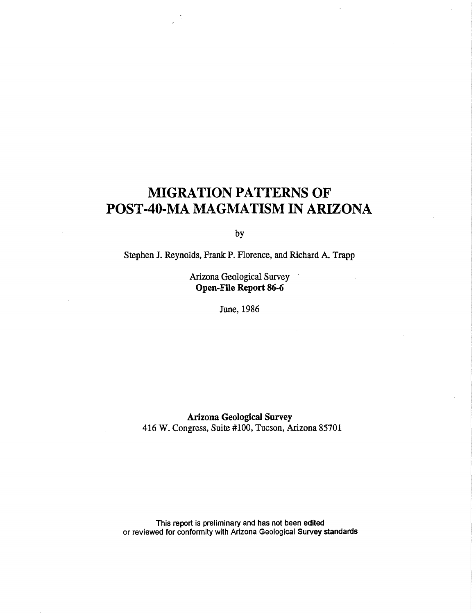## **MIGRATION PATTERNS OF POST·40·MA MAGMATISM IN ARIZONA**

by

Stephen J. Reynolds, Frank P. Florence, and Richard A. Trapp

Arizona Geological Survey Open. File Report 86·6

June, 1986

Arizona Geological Survey 416 W. Congress, Suite #100, Tucson, Arizona 85701

This report is preliminary and has not been edited or reviewed for conformity with Arizona Geological Survey standards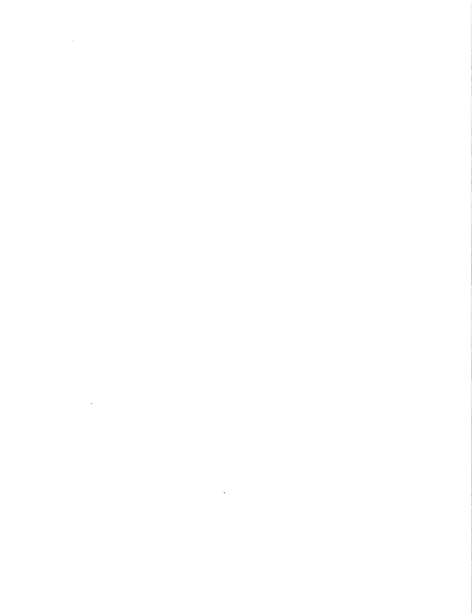$\label{eq:2.1} \frac{1}{\sqrt{2}}\left(\frac{1}{\sqrt{2}}\right)^{2} \left(\frac{1}{\sqrt{2}}\right)^{2} \left(\frac{1}{\sqrt{2}}\right)^{2} \left(\frac{1}{\sqrt{2}}\right)^{2} \left(\frac{1}{\sqrt{2}}\right)^{2} \left(\frac{1}{\sqrt{2}}\right)^{2} \left(\frac{1}{\sqrt{2}}\right)^{2} \left(\frac{1}{\sqrt{2}}\right)^{2} \left(\frac{1}{\sqrt{2}}\right)^{2} \left(\frac{1}{\sqrt{2}}\right)^{2} \left(\frac{1}{\sqrt{2}}\right)^{2} \left(\$ 

 $\label{eq:2.1} \frac{1}{\sqrt{2}}\left(\frac{1}{\sqrt{2}}\right)^{2} \left(\frac{1}{\sqrt{2}}\right)^{2} \left(\frac{1}{\sqrt{2}}\right)^{2} \left(\frac{1}{\sqrt{2}}\right)^{2} \left(\frac{1}{\sqrt{2}}\right)^{2} \left(\frac{1}{\sqrt{2}}\right)^{2} \left(\frac{1}{\sqrt{2}}\right)^{2} \left(\frac{1}{\sqrt{2}}\right)^{2} \left(\frac{1}{\sqrt{2}}\right)^{2} \left(\frac{1}{\sqrt{2}}\right)^{2} \left(\frac{1}{\sqrt{2}}\right)^{2} \left(\$ 

 $\label{eq:2.1} \frac{1}{\sqrt{2}}\int_{\mathbb{R}^3}\frac{1}{\sqrt{2}}\left(\frac{1}{\sqrt{2}}\right)^2\frac{1}{\sqrt{2}}\left(\frac{1}{\sqrt{2}}\right)^2\frac{1}{\sqrt{2}}\left(\frac{1}{\sqrt{2}}\right)^2\frac{1}{\sqrt{2}}\left(\frac{1}{\sqrt{2}}\right)^2.$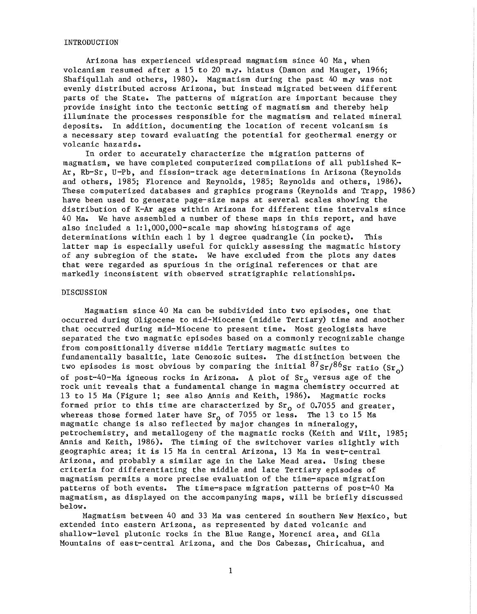## INTRODUCTION

Arizona has experienced widespread magmatism since 40 Ma, when volcanism resumed after a 15 to 20 m.y. hiatus (Damon and Mauger, 1966; Shafiqullah and others, 1980). Magmatism during the past 40 m.y was not evenly distributed across Arizona, but instead migrated between different parts of the State. The patterns of migration are important because they provide insight into the tectonic setting of magmatism and thereby help illuminate the processes responsible for the magmatism and related mineral deposits. In aqdition, documenting the location of recent volcanism is a necessary step toward evaluating the potential for geothermal energy or volcanic hazards.

In order to accurately characterize the migration patterns of magmatism, we have completed computerized compilations of all published K-Ar, Rb-Sr, U-Pb, and fission-track age determinations in Arizona (Reynolds and others, 1985; Florence and Reynolds, 1985; Reynolds and others, 1986). These computerized databases and graphics programs (Reynolds and Trapp, 1986) have been used to generate page-size maps at several scales showing the distribution of K-Ar ages within Arizona for different time intervals since 40 Ma. We have assembled a number of these maps in this report, and have also included a l:l,OOO,OOO-scale map showing histograms of age determinations within each 1 by 1 degree quadrangle (in pocket). This latter map is especially useful for quickly assessing the magmatic history of any subregion of the state. We have excluded from the plots any dates that were regarded as spurious in the original references or that are markedly inconsistent with observed stratigraphic relationships.

## DISCUSSION

Magmatism since 40 Ma can be subdivided into two episodes, one that occurred during Oligocene to mid-Miocene (middle Tertiary) time and another that occurred during mid-Miocene to present time. Most geologists have separated the two magmatic episodes based on a commonly recognizable change from compositionally diverse middle Tertiary magmatic suites to fundamentally basaltic, late Cenozoic suites. The distinction between the two episodes is most obvious by comparing the initial  $\frac{87}{sr}/\frac{86}{sr}$  ratio  $(sr_0)$ of post-40-Ma igneous rocks in Arizona. A plot of  $Sr<sub>o</sub>$  versus age of the rock unit reveals that a fundamental change in magma chemistry occurred at 13 to 15 Ma (Figure 1; see also Annis and Keith, 1986). Magmatic rocks formed prior to this time are characterized by  $Sr<sub>o</sub>$  of 0.7055 and greater, whereas those formed later have  $Sr<sub>o</sub>$  of 7055 or less. The 13 to 15 Ma magmatic change is also reflected by major changes in mineralogy, petrochemistry, and metallogeny of the magmatic rocks (Keith and Wilt, 1985; Annis and Keith, 1986). The timing of the switchover varies slightly with geographic area; it is 15 Ma in central Arizona, 13 Ma in west-central Arizona, and probably a similar age in the Lake Mead area. Using these criteria for differentiating the middle and late Tertiary episodes of magmatism permits a more precise evaluation of the time-space migration patterns of both events. The time-space migration patterns of post-40 Ma magmatism, as displayed on the accompanying maps, will be briefly discussed below.

Magmatism between 40 and 33 Ma was centered in southern New Mexico, but extended into eastern Arizona, as represented by dated volcanic and shallow-level plutonic rocks in the Blue Range, Morenci area, and Gila Mountains of east-central Arizona, and the Dos Cabezas, Chiricahua, and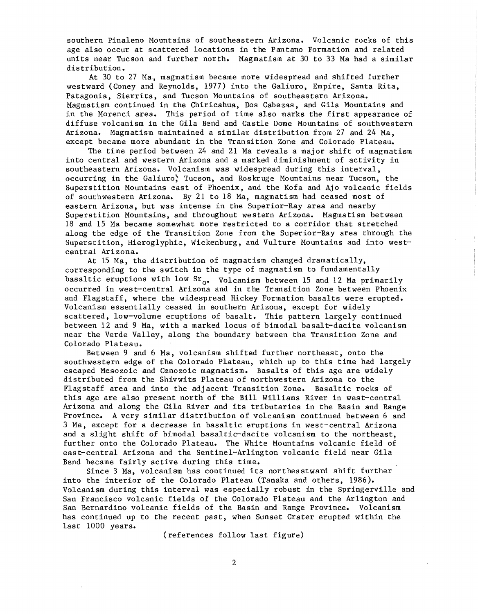southern Pinaleno Mountains of southeastern Arizona. Volcanic rocks of this age also occur at scattered locations in the Pantano Formation and related units near Tucson and further north. Magmatism at 30 to 33 Ma had a similar distribution.

At 30 to 27 Ma, magmatism became more widespread and shifted further westward (Coney and Reynolds, 1977) into the Galiuro, Empire, Santa Rita, Patagonia, Sierrita, and Tucson Mountains of southeastern Arizona. Magmatism continued in the Chiricahua, Dos Cabezas, and Gila Mountains and in the Morenci area. This period of time also marks the first appearance of diffuse volcanism in the Gila Bend and Castle Dome Mountains of southwestern Arizona. Magmatism maintained a similar distribution from 27 and 24 Ma, except became more abundant in the Transition Zone and Colorado Plateau.

The time period between 24 and 21 Ma reveals a major shift of magmatism into central and western Arizona and a marked diminishment of activity in southeastern Arizona. Volcanism was widespread during this interval, occurring in the Galiuro, Tucson, and Roskruge Mountains near Tucson, the Superstition Mountains east of Phoenix, and the Kofa and Ajo volcanic fields of southwestern Arizona. By 21 to 18 Ma, magmatism had ceased most of eastern Arizona, but was intense in the Superior-Ray area and nearby Superstition Mountains, and throughout western Arizona. Magmatism between 18 and 15 Ma became somewhat more restricted to a corridor that stretched along the edge of the Transition Zone from the Superior-Ray area through the Superstition, Hieroglyphic, Wickenburg, and Vulture Mountains and into westcentral Arizona.

At 15 Ma, the distribution of magmatism changed dramatically, corresponding to the switch in the type of magmatism to fundamentally basaltic eruptions with low  $Sr_{0}$ . Volcanism between 15 and 12 Ma primarily occurred in west-central Arizona and in the Transition Zone between Phoenix and Flagstaff, where the widespread Hickey Formation basalts were erupted. Volcanism essentially ceased in southern Arizona, except for widely scattered, low-volume eruptions of basalt. This pattern largely continued between 12 and 9 Ma, with a marked locus of bimodal basalt-dacite volcanism near the Verde Valley, along the boundary between the Transition Zone and Colorado Plateau.

Between 9 and 6 Ma, volcanism shifted further northeast, onto the southwestern edge of the Colorado Plateau, which up to this time had largely escaped Mesozoic and Cenozoic magmatism. Basalts of this age are widely distributed from the Shivwits Plateau of northwestern Arizona to the Flagstaff area and into the adjacent Transition Zone. Basaltic rocks of this age are also present north of the Bill Williams River in west-central Arizona and along the Gila River and its tributaries in the Basin and Range Province. A very similar distribution of volcanism continued between 6 and 3 Ma, except for a decrease in basaltic eruptions in west-central Arizona and a slight shift of bimodal basaltic-dacite volcanism to the northeast, further onto the Colorado Plateau. The White Mountains volcanic field of east-central Arizona and the Sentinel-Arlington volcanic field near Gila Bend became fairly active during this time.

Since 3 Ma, volcanism has continued its northeastward shift further into the interior of the Colorado Plateau (Tanaka and others, 1986). Volcanism during this interval was especially robust in the Springerville and San Francisco volcanic fields of the Colorado Plateau and the Arlington and San Bernardino volcanic fields of the Basin and Range Province. Volcanism has continued up to the recent past, when Sunset Crater erupted within the last 1000 years.

(references follow last figure)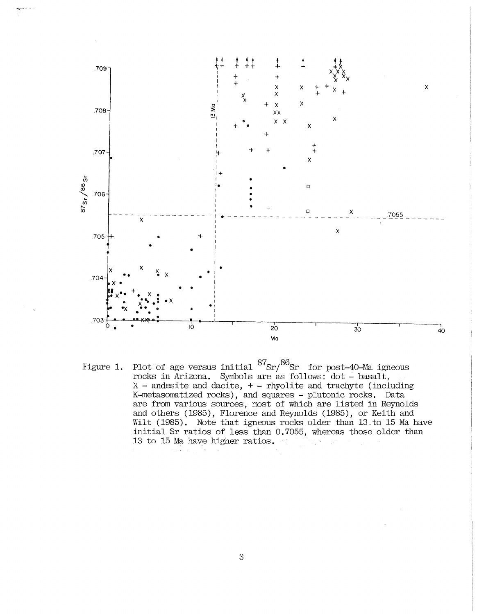

Plot of age versus initial  $^{87}\mathrm{Sr}/^{86}\mathrm{Sr}$  for post-40-Ma igneous rocks in Arizona. Symbols are as follows: dot – basalt, Figure 1.  $X$  - andesite and dacite,  $+$  - rhyolite and trachyte (including K-metasomatized rocks), and squares - plutonic rocks. Data are from various sources, most of which are listed in Reynolds and others (1985), Florence and Reynolds (1985), or Keith and Wilt (1985). Note that igneous rocks older than 13 to 15 Ma have initial Sr ratios of less than 0.7055, whereas those older than 13 to 15 Ma have higher ratios. **1000 年度** - 11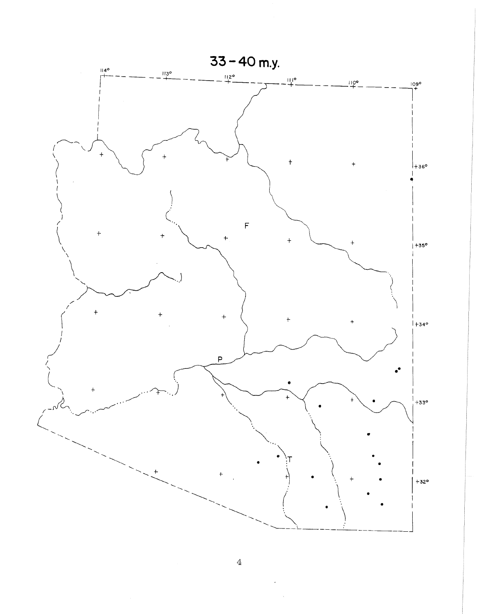

 $\overline{4}$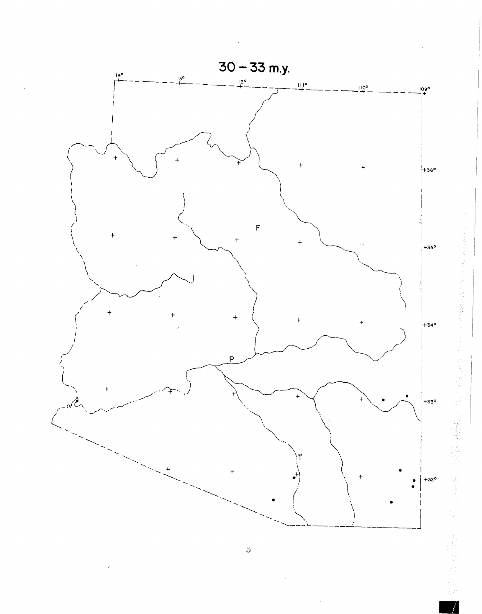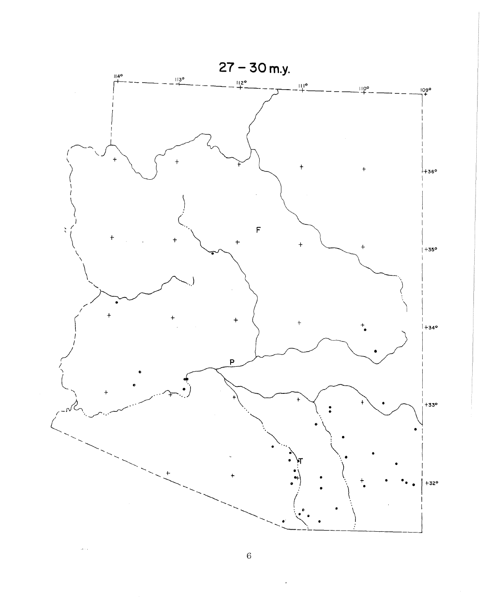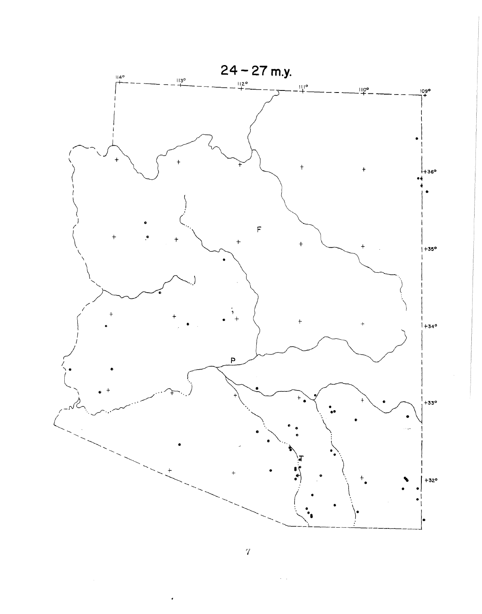

 $\bar{7}$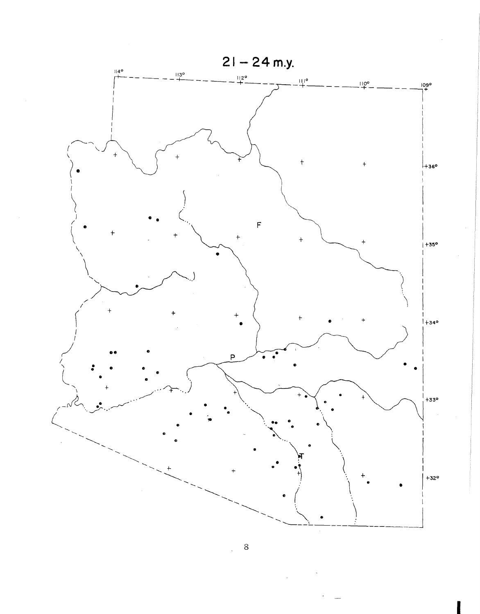

 $\,8\,$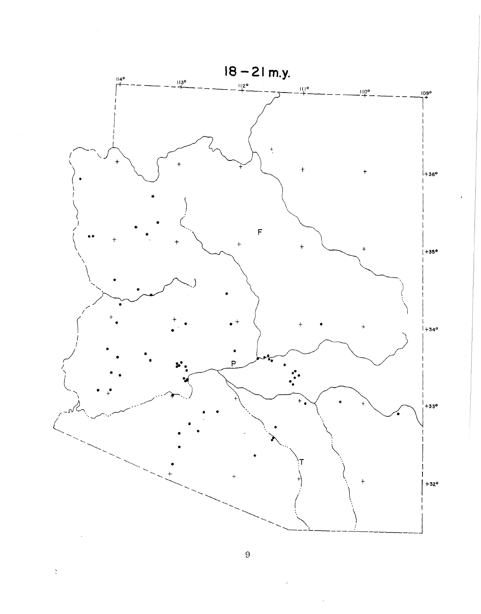

 $\frac{1}{2}$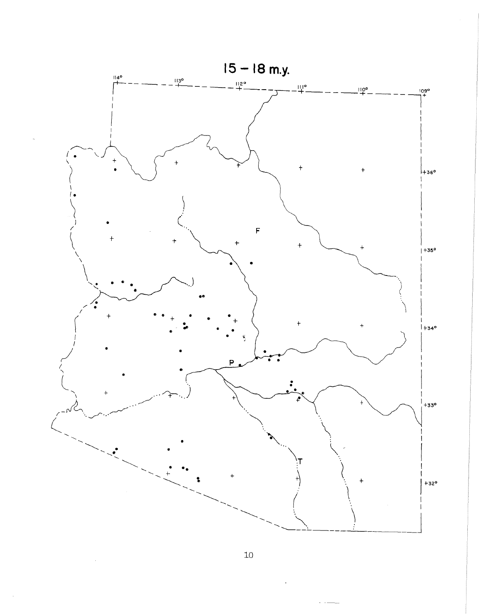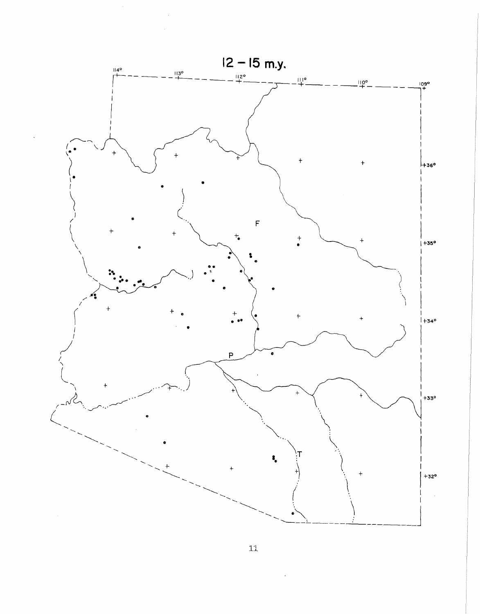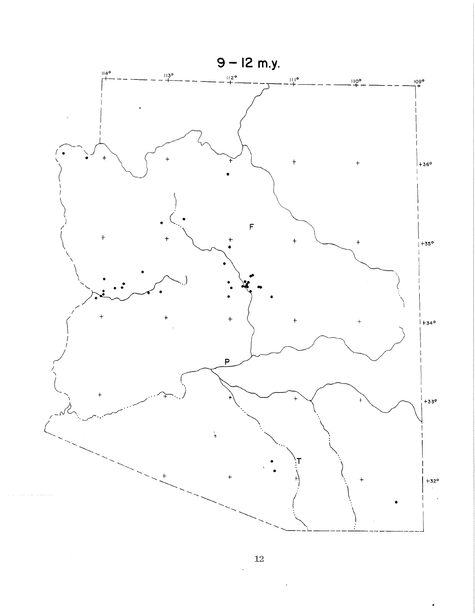

 $12\,$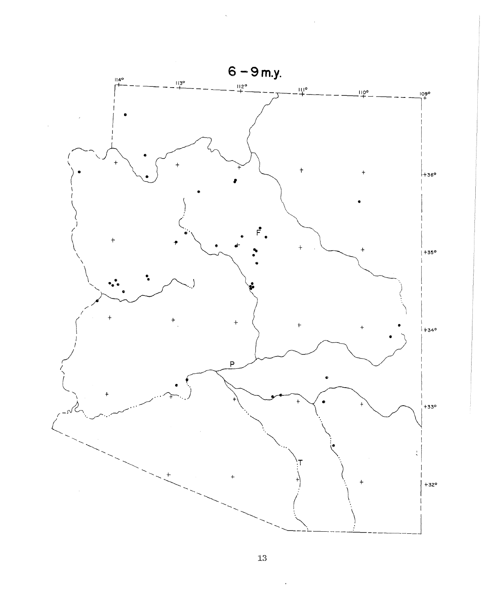

 $13\,$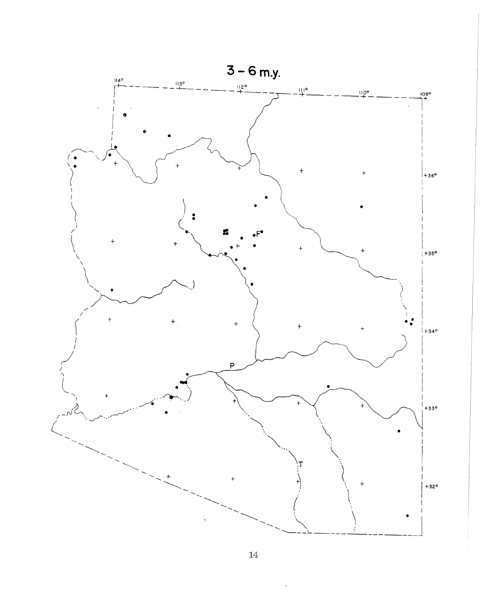

 $\bf 14$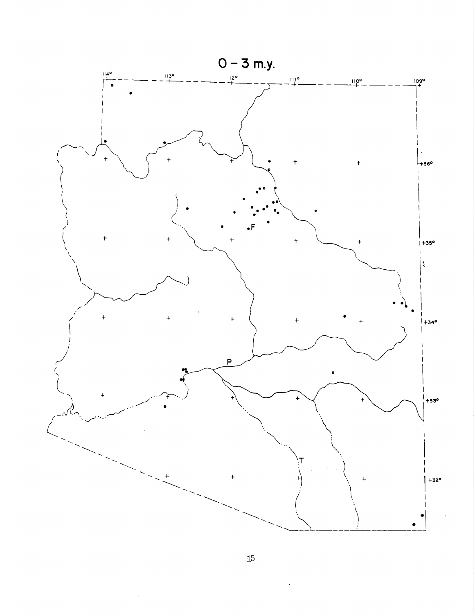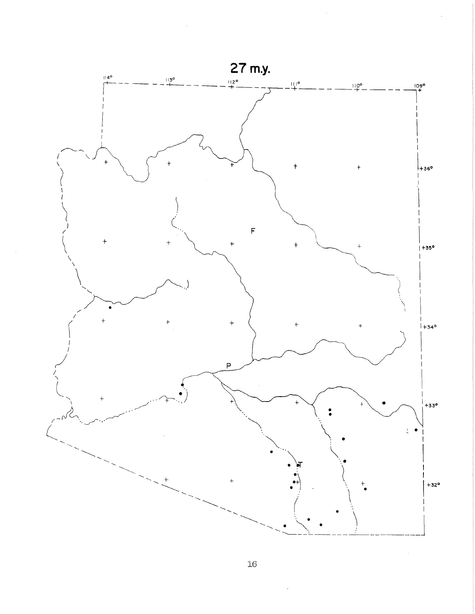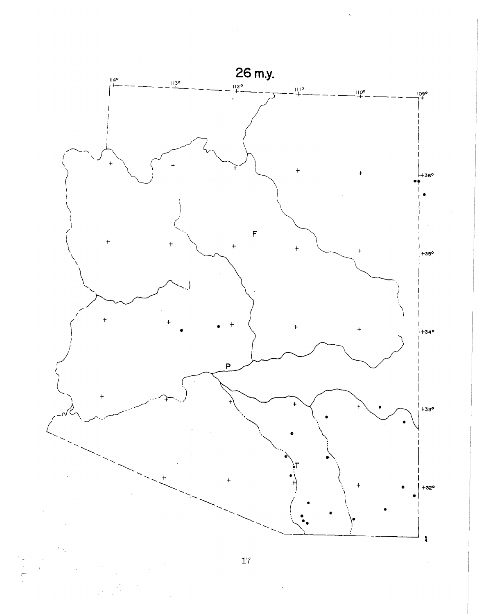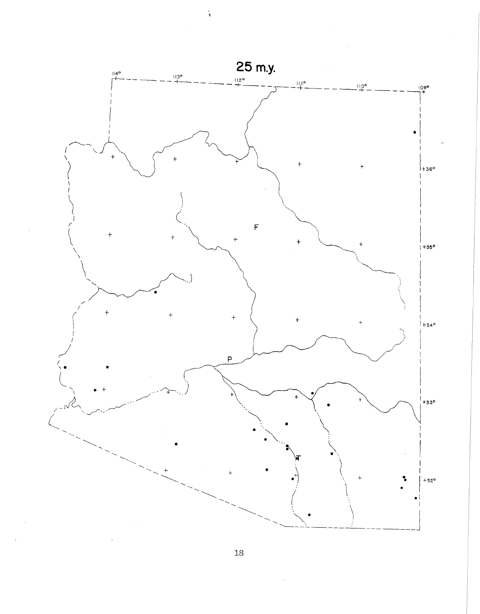

 $\frac{1}{4}$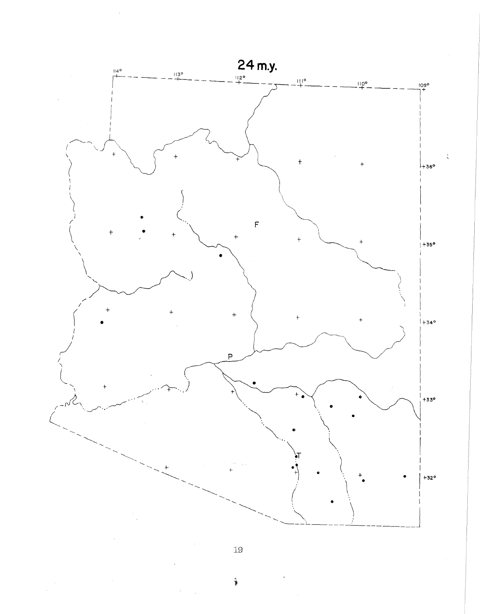

 $\ddot{\psi}$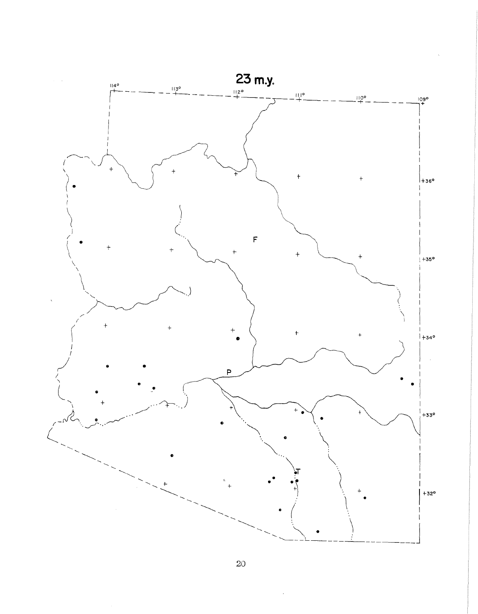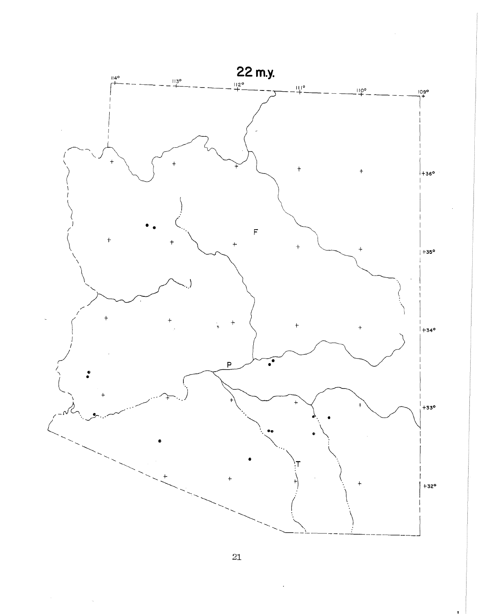

 $21\,$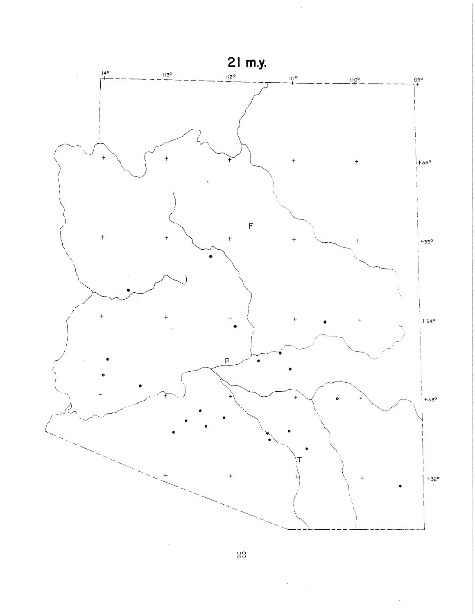

 $2\bar{2}$